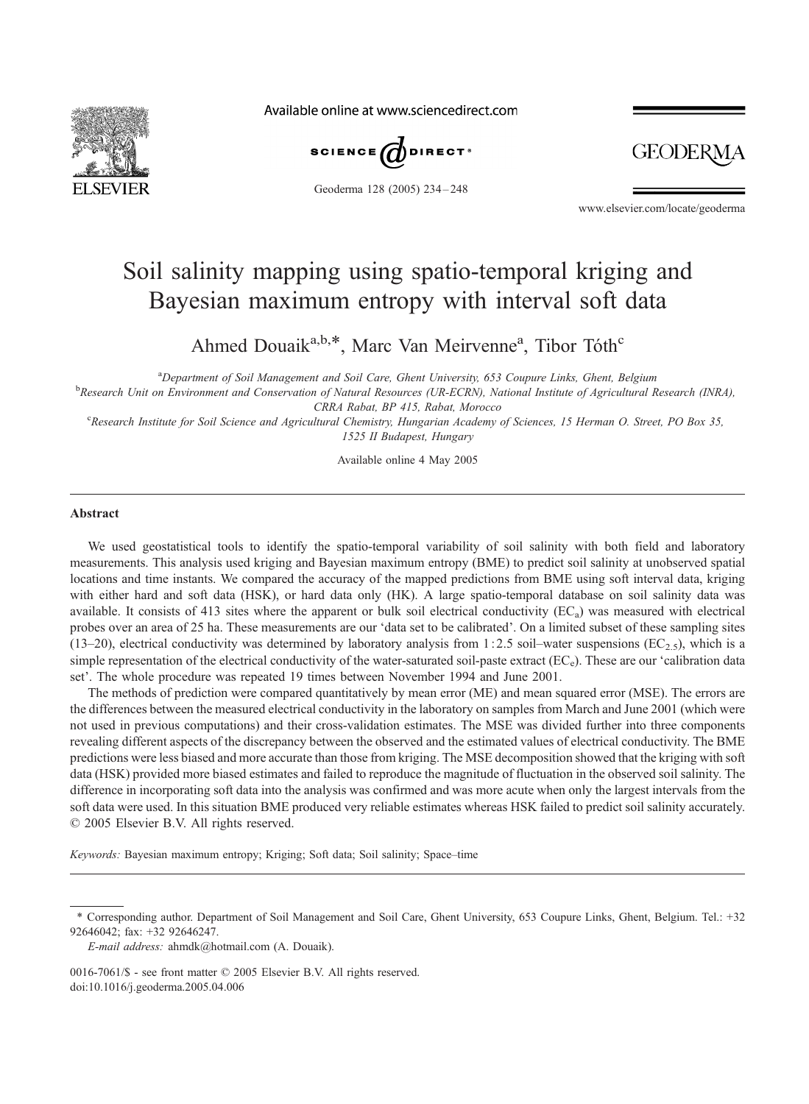

Available online at www.sciencedirect.com



Geoderma 128 (2005) 234 – 248

GEODER

www.elsevier.com/locate/geoderma

# Soil salinity mapping using spatio-temporal kriging and Bayesian maximum entropy with interval soft data

Ahmed Douaik<sup>a,b,\*</sup>, Marc Van Meirvenne<sup>a</sup>, Tibor Tóth<sup>c</sup>

<sup>a</sup>Department of Soil Management and Soil Care, Ghent University, 653 Coupure Links, Ghent, Belgium<br><sup>b</sup>Pecessiol Unit on Emissonment and Consequention of Natural Pecessions (UP ECPN), National Institute of Agricultural E

<sup>b</sup>Research Unit on Environment and Conservation of Natural Resources (UR-ECRN), National Institute of Agricultural Research (INRA), CRRA Rabat, BP 415, Rabat, Morocco

<sup>c</sup> Research Institute for Soil Science and Agricultural Chemistry, Hungarian Academy of Sciences, 15 Herman O. Street, PO Box 35, 1525 II Budapest, Hungary

Available online 4 May 2005

## Abstract

We used geostatistical tools to identify the spatio-temporal variability of soil salinity with both field and laboratory measurements. This analysis used kriging and Bayesian maximum entropy (BME) to predict soil salinity at unobserved spatial locations and time instants. We compared the accuracy of the mapped predictions from BME using soft interval data, kriging with either hard and soft data (HSK), or hard data only (HK). A large spatio-temporal database on soil salinity data was available. It consists of 413 sites where the apparent or bulk soil electrical conductivity  $(EC_a)$  was measured with electrical probes over an area of 25 ha. These measurements are our 'data set to be calibrated'. On a limited subset of these sampling sites (13–20), electrical conductivity was determined by laboratory analysis from 1:2.5 soil–water suspensions (EC<sub>2.5</sub>), which is a simple representation of the electrical conductivity of the water-saturated soil-paste extract ( $EC_e$ ). These are our 'calibration data set'. The whole procedure was repeated 19 times between November 1994 and June 2001.

The methods of prediction were compared quantitatively by mean error (ME) and mean squared error (MSE). The errors are the differences between the measured electrical conductivity in the laboratory on samples from March and June 2001 (which were not used in previous computations) and their cross-validation estimates. The MSE was divided further into three components revealing different aspects of the discrepancy between the observed and the estimated values of electrical conductivity. The BME predictions were less biased and more accurate than those from kriging. The MSE decomposition showed that the kriging with soft data (HSK) provided more biased estimates and failed to reproduce the magnitude of fluctuation in the observed soil salinity. The difference in incorporating soft data into the analysis was confirmed and was more acute when only the largest intervals from the soft data were used. In this situation BME produced very reliable estimates whereas HSK failed to predict soil salinity accurately.  $© 2005 Elsevier B.V. All rights reserved.$ 

Keywords: Bayesian maximum entropy; Kriging; Soft data; Soil salinity; Space–time

<sup>\*</sup> Corresponding author. Department of Soil Management and Soil Care, Ghent University, 653 Coupure Links, Ghent, Belgium. Tel.: +32 92646042; fax: +32 92646247.

E-mail address: ahmdk@hotmail.com (A. Douaik).

<sup>0016-7061/\$ -</sup> see front matter  $\odot$  2005 Elsevier B.V. All rights reserved. doi:10.1016/j.geoderma.2005.04.006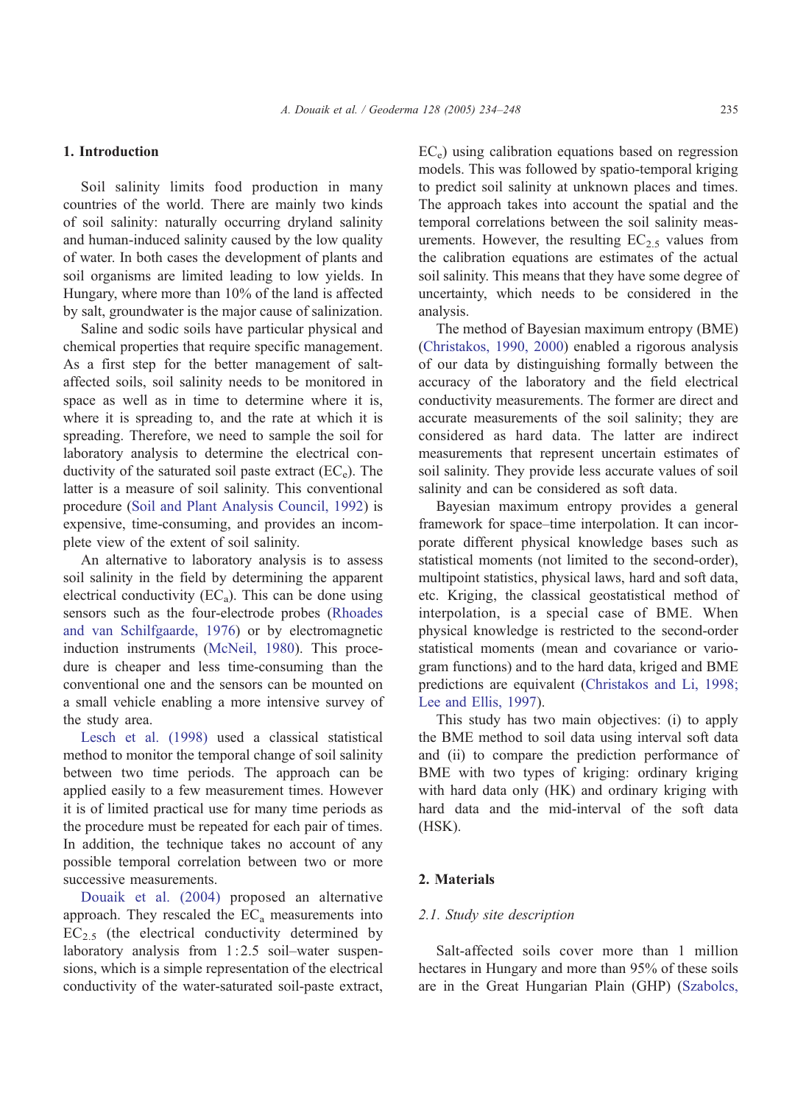# 1. Introduction

Soil salinity limits food production in many countries of the world. There are mainly two kinds of soil salinity: naturally occurring dryland salinity and human-induced salinity caused by the low quality of water. In both cases the development of plants and soil organisms are limited leading to low yields. In Hungary, where more than 10% of the land is affected by salt, groundwater is the major cause of salinization.

Saline and sodic soils have particular physical and chemical properties that require specific management. As a first step for the better management of saltaffected soils, soil salinity needs to be monitored in space as well as in time to determine where it is, where it is spreading to, and the rate at which it is spreading. Therefore, we need to sample the soil for laboratory analysis to determine the electrical conductivity of the saturated soil paste extract  $(EC_e)$ . The latter is a measure of soil salinity. This conventional procedure ([Soil and Plant Analysis Council, 1992\)](#page-14-0) is expensive, time-consuming, and provides an incomplete view of the extent of soil salinity.

An alternative to laboratory analysis is to assess soil salinity in the field by determining the apparent electrical conductivity  $(EC_a)$ . This can be done using sensors such as the four-electrode probes ([Rhoades](#page-14-0) and van Schilfgaarde, 1976) or by electromagnetic induction instruments ([McNeil, 1980\)](#page-14-0). This procedure is cheaper and less time-consuming than the conventional one and the sensors can be mounted on a small vehicle enabling a more intensive survey of the study area.

[Lesch et al. \(1998\)](#page-14-0) used a classical statistical method to monitor the temporal change of soil salinity between two time periods. The approach can be applied easily to a few measurement times. However it is of limited practical use for many time periods as the procedure must be repeated for each pair of times. In addition, the technique takes no account of any possible temporal correlation between two or more successive measurements.

[Douaik et al. \(2004\)](#page-13-0) proposed an alternative approach. They rescaled the  $EC<sub>a</sub>$  measurements into  $EC_{2.5}$  (the electrical conductivity determined by laboratory analysis from 1:2.5 soil–water suspensions, which is a simple representation of the electrical conductivity of the water-saturated soil-paste extract,

 $EC<sub>e</sub>$ ) using calibration equations based on regression models. This was followed by spatio-temporal kriging to predict soil salinity at unknown places and times. The approach takes into account the spatial and the temporal correlations between the soil salinity measurements. However, the resulting  $EC_{2.5}$  values from the calibration equations are estimates of the actual soil salinity. This means that they have some degree of uncertainty, which needs to be considered in the analysis.

The method of Bayesian maximum entropy (BME) ([Christakos, 1990, 2000\)](#page-13-0) enabled a rigorous analysis of our data by distinguishing formally between the accuracy of the laboratory and the field electrical conductivity measurements. The former are direct and accurate measurements of the soil salinity; they are considered as hard data. The latter are indirect measurements that represent uncertain estimates of soil salinity. They provide less accurate values of soil salinity and can be considered as soft data.

Bayesian maximum entropy provides a general framework for space–time interpolation. It can incorporate different physical knowledge bases such as statistical moments (not limited to the second-order), multipoint statistics, physical laws, hard and soft data, etc. Kriging, the classical geostatistical method of interpolation, is a special case of BME. When physical knowledge is restricted to the second-order statistical moments (mean and covariance or variogram functions) and to the hard data, kriged and BME predictions are equivalent ([Christakos and Li, 1998;](#page-13-0) Lee and Ellis, 1997).

This study has two main objectives: (i) to apply the BME method to soil data using interval soft data and (ii) to compare the prediction performance of BME with two types of kriging: ordinary kriging with hard data only (HK) and ordinary kriging with hard data and the mid-interval of the soft data (HSK).

# 2. Materials

#### 2.1. Study site description

Salt-affected soils cover more than 1 million hectares in Hungary and more than 95% of these soils are in the Great Hungarian Plain (GHP) ([Szabolcs,](#page-14-0)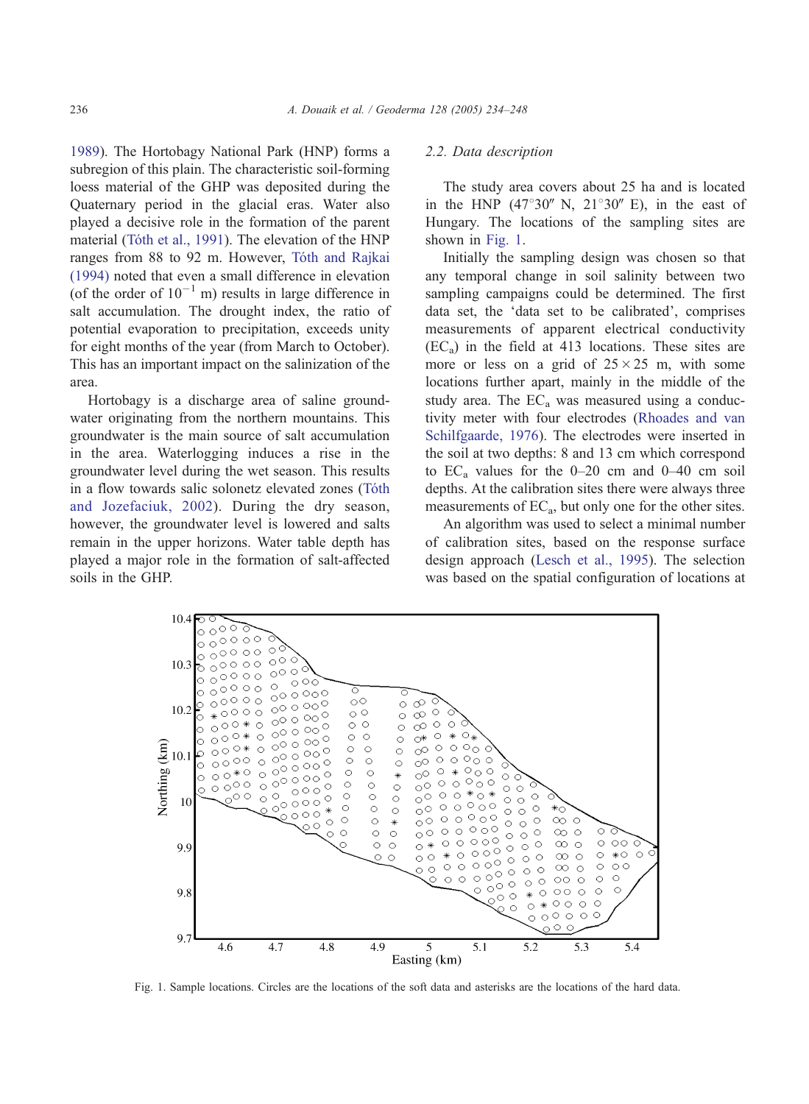1989). The Hortobagy National Park (HNP) forms a subregion of this plain. The characteristic soil-forming loess material of the GHP was deposited during the Quaternary period in the glacial eras. Water also played a decisive role in the formation of the parent material (Tóth et al., 1991). The elevation of the HNP ranges from 88 to 92 m. However, Tóth and Rajkai (1994) noted that even a small difference in elevation (of the order of  $10^{-1}$  m) results in large difference in salt accumulation. The drought index, the ratio of potential evaporation to precipitation, exceeds unity for eight months of the year (from March to October). This has an important impact on the salinization of the area.

Hortobagy is a discharge area of saline groundwater originating from the northern mountains. This groundwater is the main source of salt accumulation in the area. Waterlogging induces a rise in the groundwater level during the wet season. This results in a flow towards salic solonetz elevated zones (Tóth and Jozefaciuk, 2002). During the dry season, however, the groundwater level is lowered and salts remain in the upper horizons. Water table depth has played a major role in the formation of salt-affected soils in the GHP.

## 2.2. Data description

The study area covers about 25 ha and is located in the HNP  $(47^{\circ}30''$  N,  $21^{\circ}30''$  E), in the east of Hungary. The locations of the sampling sites are shown in Fig. 1.

Initially the sampling design was chosen so that any temporal change in soil salinity between two sampling campaigns could be determined. The first data set, the 'data set to be calibrated', comprises measurements of apparent electrical conductivity  $(EC_a)$  in the field at 413 locations. These sites are more or less on a grid of  $25 \times 25$  m, with some locations further apart, mainly in the middle of the study area. The  $EC<sub>a</sub>$  was measured using a conductivity meter with four electrodes ([Rhoades and van](#page-14-0) Schilfgaarde, 1976). The electrodes were inserted in the soil at two depths: 8 and 13 cm which correspond to  $EC_a$  values for the 0–20 cm and 0–40 cm soil depths. At the calibration sites there were always three measurements of  $EC_a$ , but only one for the other sites.

An algorithm was used to select a minimal number of calibration sites, based on the response surface design approach ([Lesch et al., 1995\)](#page-14-0). The selection was based on the spatial configuration of locations at



Fig. 1. Sample locations. Circles are the locations of the soft data and asterisks are the locations of the hard data.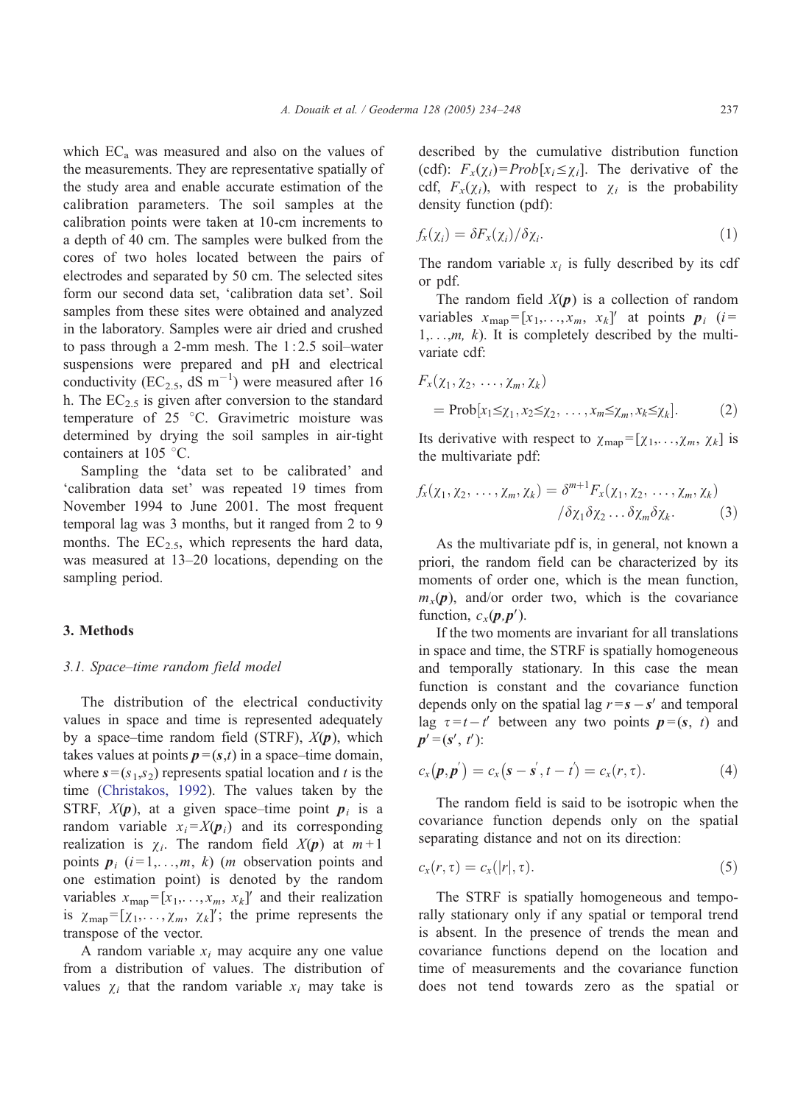which  $EC_a$  was measured and also on the values of the measurements. They are representative spatially of the study area and enable accurate estimation of the calibration parameters. The soil samples at the calibration points were taken at 10-cm increments to a depth of 40 cm. The samples were bulked from the cores of two holes located between the pairs of electrodes and separated by 50 cm. The selected sites form our second data set, 'calibration data set'. Soil samples from these sites were obtained and analyzed in the laboratory. Samples were air dried and crushed to pass through a 2-mm mesh. The 1:2.5 soil–water suspensions were prepared and pH and electrical conductivity (EC<sub>2.5</sub>, dS m<sup>-1</sup>) were measured after 16 h. The  $EC_{2.5}$  is given after conversion to the standard temperature of  $25\degree$ C. Gravimetric moisture was determined by drying the soil samples in air-tight containers at  $105^{\circ}$ C.

Sampling the 'data set to be calibrated' and 'calibration data set' was repeated 19 times from November 1994 to June 2001. The most frequent temporal lag was 3 months, but it ranged from 2 to 9 months. The  $EC_{2.5}$ , which represents the hard data, was measured at 13–20 locations, depending on the sampling period.

### 3. Methods

## 3.1. Space–time random field model

The distribution of the electrical conductivity values in space and time is represented adequately by a space–time random field (STRF),  $X(p)$ , which takes values at points  $p = (s,t)$  in a space–time domain, where  $s = (s_1, s_2)$  represents spatial location and t is the time ([Christakos, 1992\)](#page-13-0). The values taken by the STRF,  $X(p)$ , at a given space–time point  $p_i$  is a random variable  $x_i = X(p_i)$  and its corresponding realization is  $\chi_i$ . The random field  $X(p)$  at  $m+1$ points  $p_i$  ( $i = 1, \ldots, m, k$ ) (*m* observation points and one estimation point) is denoted by the random variables  $x_{\text{map}} = [x_1, \ldots, x_m, x_k]$  and their realization is  $\chi_{\text{map}} = [\chi_1, \ldots, \chi_m, \chi_k]'$ ; the prime represents the transpose of the vector.

A random variable  $x_i$  may acquire any one value from a distribution of values. The distribution of values  $\chi_i$  that the random variable  $x_i$  may take is

described by the cumulative distribution function (cdf):  $F_x(\chi_i) = Prob[x_i \leq \chi_i]$ . The derivative of the cdf,  $F_x(\chi_i)$ , with respect to  $\chi_i$  is the probability density function (pdf):

$$
f_x(\chi_i) = \delta F_x(\chi_i) / \delta \chi_i. \tag{1}
$$

The random variable  $x_i$  is fully described by its cdf or pdf.

The random field  $X(p)$  is a collection of random variables  $x_{\text{map}} = [x_1, \ldots, x_m, x_k]'$  at points  $p_i$  (i=  $1, \ldots, m, k$ ). It is completely described by the multivariate cdf:

$$
F_x(\chi_1, \chi_2, \dots, \chi_m, \chi_k)
$$
  
= Prob[x<sub>1</sub> ≤ x<sub>1</sub>, x<sub>2</sub> ≤ x<sub>2</sub>, ..., x<sub>m</sub> ≤ x<sub>m</sub>, x<sub>k</sub> ≤ x<sub>k</sub>]. (2)

Its derivative with respect to  $\chi_{\text{map}} = [\chi_1, \ldots, \chi_m, \chi_k]$  is the multivariate pdf:

$$
f_x(\chi_1, \chi_2, \ldots, \chi_m, \chi_k) = \delta^{m+1} F_x(\chi_1, \chi_2, \ldots, \chi_m, \chi_k)
$$

$$
/ \delta \chi_1 \delta \chi_2 \ldots \delta \chi_m \delta \chi_k. \tag{3}
$$

As the multivariate pdf is, in general, not known a priori, the random field can be characterized by its moments of order one, which is the mean function,  $m_x(p)$ , and/or order two, which is the covariance function,  $c_x(\mathbf{p}, \mathbf{p}')$ .

If the two moments are invariant for all translations in space and time, the STRF is spatially homogeneous and temporally stationary. In this case the mean function is constant and the covariance function depends only on the spatial lag  $r = s - s'$  and temporal lag  $\tau = t - t'$  between any two points  $p = (s, t)$  and  $p' = (s', t')$ :

$$
c_x(\mathbf{p}, \mathbf{p}') = c_x(\mathbf{s} - \mathbf{s}', t - t') = c_x(r, \tau). \tag{4}
$$

The random field is said to be isotropic when the covariance function depends only on the spatial separating distance and not on its direction:

$$
c_x(r,\tau) = c_x(|r|,\tau). \tag{5}
$$

The STRF is spatially homogeneous and temporally stationary only if any spatial or temporal trend is absent. In the presence of trends the mean and covariance functions depend on the location and time of measurements and the covariance function does not tend towards zero as the spatial or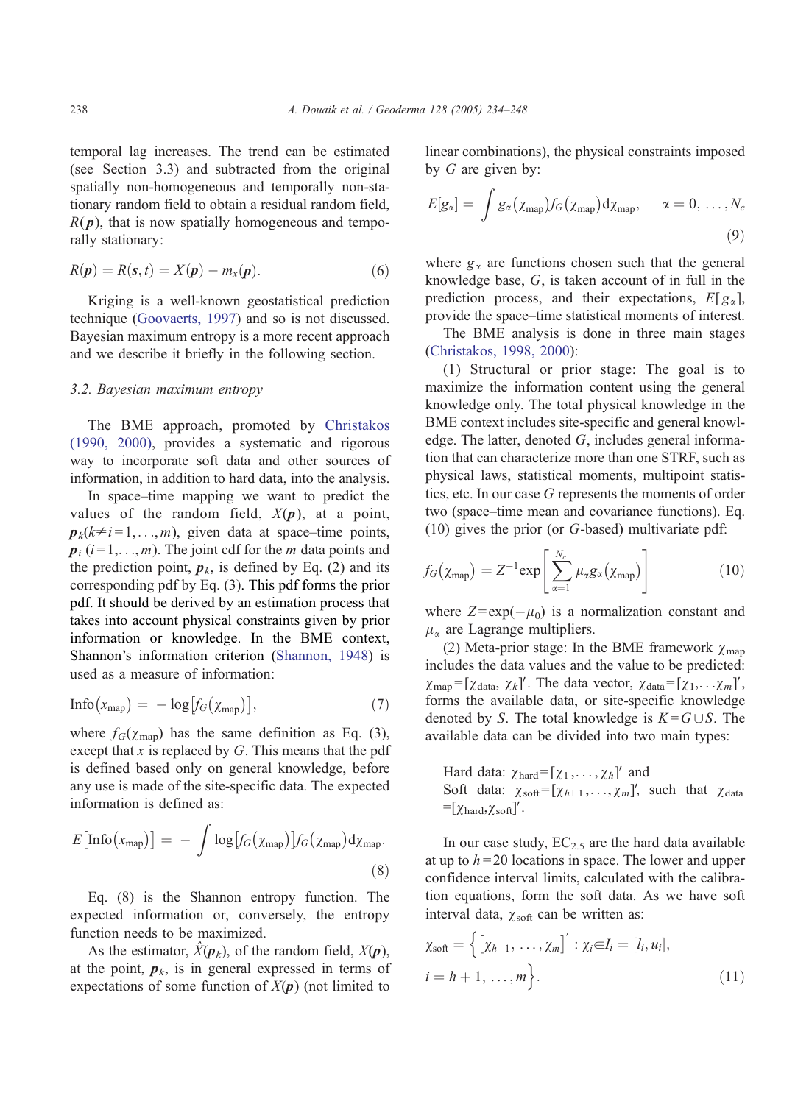temporal lag increases. The trend can be estimated (see Section 3.3) and subtracted from the original spatially non-homogeneous and temporally non-stationary random field to obtain a residual random field,  $R(p)$ , that is now spatially homogeneous and temporally stationary:

$$
R(\boldsymbol{p}) = R(\mathbf{s}, t) = X(\boldsymbol{p}) - m_x(\boldsymbol{p}). \tag{6}
$$

Kriging is a well-known geostatistical prediction technique ([Goovaerts, 1997\)](#page-13-0) and so is not discussed. Bayesian maximum entropy is a more recent approach and we describe it briefly in the following section.

## 3.2. Bayesian maximum entropy

The BME approach, promoted by [Christakos](#page-13-0) (1990, 2000), provides a systematic and rigorous way to incorporate soft data and other sources of information, in addition to hard data, into the analysis.

In space–time mapping we want to predict the values of the random field,  $X(p)$ , at a point,  $p_k(k\neq i=1,\ldots,m)$ , given data at space–time points,  $p_i$  (i=1,..., m). The joint cdf for the m data points and the prediction point,  $p_k$ , is defined by Eq. (2) and its corresponding pdf by Eq. (3). This pdf forms the prior pdf. It should be derived by an estimation process that takes into account physical constraints given by prior information or knowledge. In the BME context, Shannon's information criterion ([Shannon, 1948\)](#page-14-0) is used as a measure of information:

$$
Info(x_{map}) = -log[f_G(x_{map})],
$$
\n(7)

where  $f_G(\chi_{\text{man}})$  has the same definition as Eq. (3), except that  $x$  is replaced by  $G$ . This means that the pdf is defined based only on general knowledge, before any use is made of the site-specific data. The expected information is defined as:

$$
E\big[\text{Info}\big(x_{\text{map}}\big)\big] = -\int \log[f_G\big(\chi_{\text{map}}\big)] f_G\big(\chi_{\text{map}}\big) d\chi_{\text{map}}.\tag{8}
$$

Eq. (8) is the Shannon entropy function. The expected information or, conversely, the entropy function needs to be maximized.

As the estimator,  $\hat{X}(\boldsymbol{p}_k)$ , of the random field,  $X(\boldsymbol{p})$ , at the point,  $p_k$ , is in general expressed in terms of expectations of some function of  $X(p)$  (not limited to

linear combinations), the physical constraints imposed by  $G$  are given by:

$$
E[g_{\alpha}] = \int g_{\alpha}(\chi_{\text{map}}) f_G(\chi_{\text{map}}) d\chi_{\text{map}}, \quad \alpha = 0, \ldots, N_c
$$
\n(9)

where  $g_{\alpha}$  are functions chosen such that the general knowledge base, G, is taken account of in full in the prediction process, and their expectations,  $E[g_\alpha]$ , provide the space–time statistical moments of interest.

The BME analysis is done in three main stages ([Christakos, 1998, 2000\)](#page-13-0):

(1) Structural or prior stage: The goal is to maximize the information content using the general knowledge only. The total physical knowledge in the BME context includes site-specific and general knowledge. The latter, denoted  $G$ , includes general information that can characterize more than one STRF, such as physical laws, statistical moments, multipoint statistics, etc. In our case G represents the moments of order two (space–time mean and covariance functions). Eq. (10) gives the prior (or G-based) multivariate pdf:

$$
f_G(\chi_{\text{map}}) = Z^{-1} \exp\left[\sum_{\alpha=1}^{N_c} \mu_\alpha g_\alpha(\chi_{\text{map}})\right]
$$
 (10)

where  $Z = \exp(-\mu_0)$  is a normalization constant and  $\mu_{\alpha}$  are Lagrange multipliers.

(2) Meta-prior stage: In the BME framework  $\gamma_{\text{man}}$ includes the data values and the value to be predicted:  $\chi_{\text{map}} = [\chi_{\text{data}}, \chi_k]'$ . The data vector,  $\chi_{\text{data}} = [\chi_1, \ldots \chi_m]'$ , forms the available data, or site-specific knowledge denoted by S. The total knowledge is  $K = G \cup S$ . The available data can be divided into two main types:

Hard data:  $\chi_{\text{hard}} = [\chi_1, \ldots, \chi_h]'$  and Soft data:  $\chi_{soft} = [\chi_{h+1}, \ldots, \chi_m]'$ , such that  $\chi_{data}$  $= [\chi_{\text{hard}}, \chi_{\text{soft}}]'$ .

In our case study,  $EC_{2.5}$  are the hard data available at up to  $h = 20$  locations in space. The lower and upper confidence interval limits, calculated with the calibration equations, form the soft data. As we have soft interval data,  $\chi$ <sub>soft</sub> can be written as:

$$
\chi_{\text{soft}} = \left\{ \left[ \chi_{h+1}, \dots, \chi_m \right]' : \chi_i \in I_i = [l_i, u_i], \right\}
$$
\n
$$
i = h + 1, \dots, m \right\}.
$$
\n(11)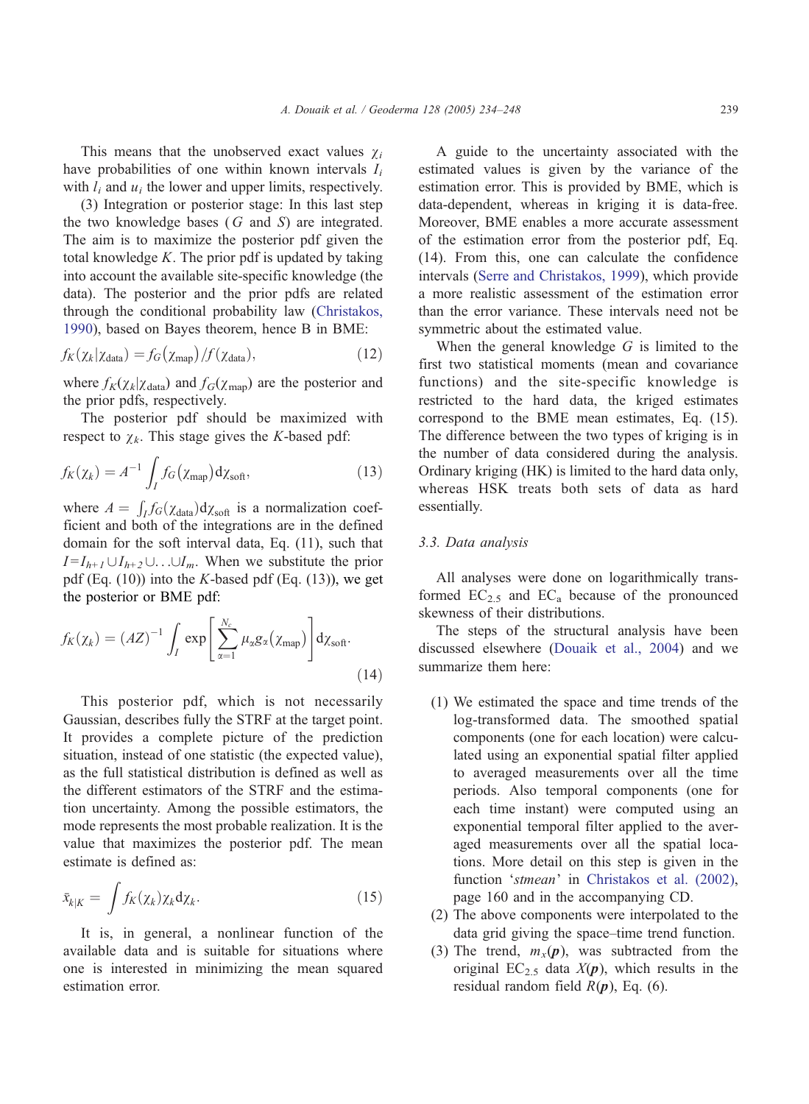This means that the unobserved exact values  $\chi_i$ have probabilities of one within known intervals  $I_i$ with  $l_i$  and  $u_j$  the lower and upper limits, respectively.

(3) Integration or posterior stage: In this last step the two knowledge bases  $(G \text{ and } S)$  are integrated. The aim is to maximize the posterior pdf given the total knowledge K. The prior pdf is updated by taking into account the available site-specific knowledge (the data). The posterior and the prior pdfs are related through the conditional probability law ([Christakos,](#page-13-0) 1990), based on Bayes theorem, hence B in BME:

$$
f_K(\chi_k|\chi_{\text{data}}) = f_G(\chi_{\text{map}})/f(\chi_{\text{data}}),\tag{12}
$$

where  $f_K(\chi_k|\chi_{\text{data}})$  and  $f_G(\chi_{\text{map}})$  are the posterior and the prior pdfs, respectively.

The posterior pdf should be maximized with respect to  $\chi_k$ . This stage gives the K-based pdf:

$$
f_K(\chi_k) = A^{-1} \int_I f_G(\chi_{\text{map}}) d\chi_{\text{soft}},
$$
\n(13)

where  $A = \int_I f_G(\chi_{data}) d\chi_{soft}$  is a normalization coefficient and both of the integrations are in the defined domain for the soft interval data, Eq. (11), such that  $I = I_{h+1} \cup I_{h+2} \cup \ldots \cup I_m$ . When we substitute the prior pdf (Eq.  $(10)$ ) into the K-based pdf (Eq.  $(13)$ ), we get the posterior or BME pdf:

$$
f_K(\chi_k) = (AZ)^{-1} \int_I \exp\left[\sum_{\alpha=1}^{N_c} \mu_\alpha g_\alpha(\chi_{\text{map}})\right] d\chi_{\text{soft}}.
$$
\n(14)

This posterior pdf, which is not necessarily Gaussian, describes fully the STRF at the target point. It provides a complete picture of the prediction situation, instead of one statistic (the expected value), as the full statistical distribution is defined as well as the different estimators of the STRF and the estimation uncertainty. Among the possible estimators, the mode represents the most probable realization. It is the value that maximizes the posterior pdf. The mean estimate is defined as:

$$
\bar{x}_{k|K} = \int f_K(\chi_k) \chi_k \, \mathrm{d}\chi_k. \tag{15}
$$

It is, in general, a nonlinear function of the available data and is suitable for situations where one is interested in minimizing the mean squared estimation error.

A guide to the uncertainty associated with the estimated values is given by the variance of the estimation error. This is provided by BME, which is data-dependent, whereas in kriging it is data-free. Moreover, BME enables a more accurate assessment of the estimation error from the posterior pdf, Eq. (14). From this, one can calculate the confidence intervals ([Serre and Christakos, 1999\)](#page-14-0), which provide a more realistic assessment of the estimation error than the error variance. These intervals need not be symmetric about the estimated value.

When the general knowledge  $G$  is limited to the first two statistical moments (mean and covariance functions) and the site-specific knowledge is restricted to the hard data, the kriged estimates correspond to the BME mean estimates, Eq. (15). The difference between the two types of kriging is in the number of data considered during the analysis. Ordinary kriging (HK) is limited to the hard data only, whereas HSK treats both sets of data as hard essentially.

## 3.3. Data analysis

All analyses were done on logarithmically transformed  $EC_{2,5}$  and  $EC_{a}$  because of the pronounced skewness of their distributions.

The steps of the structural analysis have been discussed elsewhere ([Douaik et al., 2004\)](#page-13-0) and we summarize them here:

- (1) We estimated the space and time trends of the log-transformed data. The smoothed spatial components (one for each location) were calculated using an exponential spatial filter applied to averaged measurements over all the time periods. Also temporal components (one for each time instant) were computed using an exponential temporal filter applied to the averaged measurements over all the spatial locations. More detail on this step is given in the function 'stmean' in [Christakos et al. \(2002\),](#page-13-0) page 160 and in the accompanying CD.
- (2) The above components were interpolated to the data grid giving the space–time trend function.
- (3) The trend,  $m_x(p)$ , was subtracted from the original  $EC_{2.5}$  data  $X(p)$ , which results in the residual random field  $R(p)$ , Eq. (6).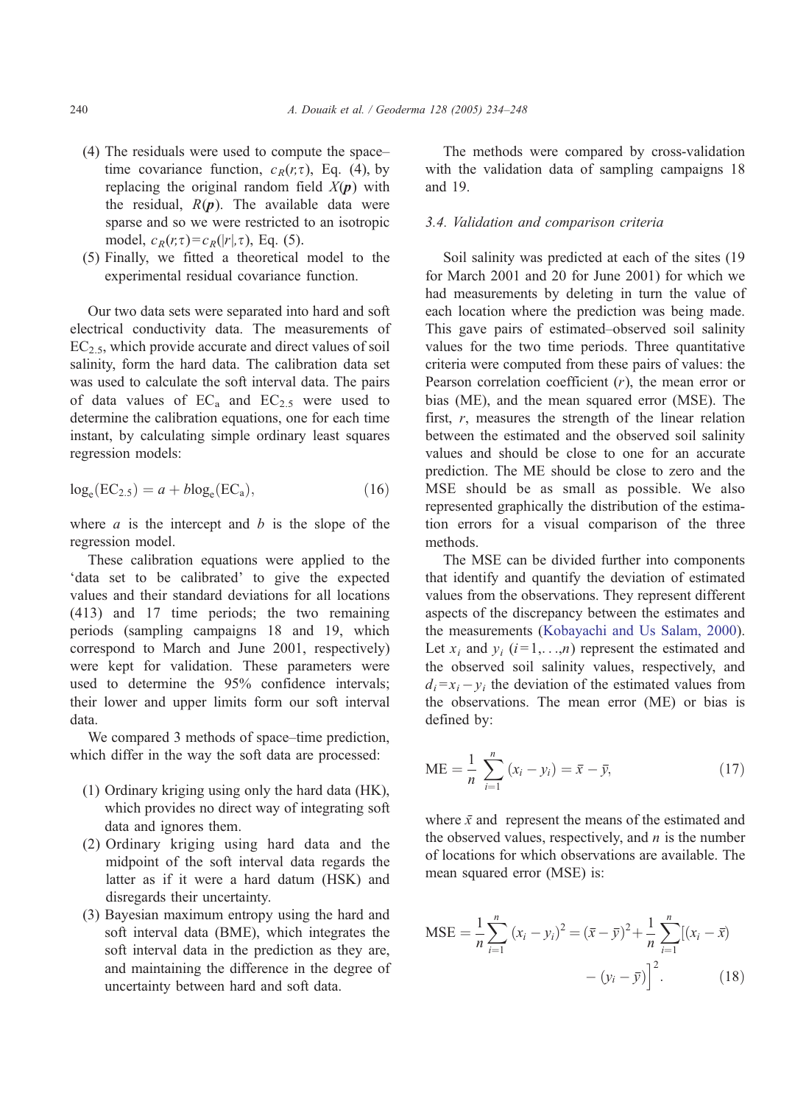- (4) The residuals were used to compute the space– time covariance function,  $c_R(r,\tau)$ , Eq. (4), by replacing the original random field  $X(p)$  with the residual,  $R(p)$ . The available data were sparse and so we were restricted to an isotropic model,  $c_R(r,\tau) = c_R(|r|,\tau)$ , Eq. (5).
- (5) Finally, we fitted a theoretical model to the experimental residual covariance function.

Our two data sets were separated into hard and soft electrical conductivity data. The measurements of  $EC_{2.5}$ , which provide accurate and direct values of soil salinity, form the hard data. The calibration data set was used to calculate the soft interval data. The pairs of data values of  $EC<sub>a</sub>$  and  $EC<sub>2.5</sub>$  were used to determine the calibration equations, one for each time instant, by calculating simple ordinary least squares regression models:

$$
log_e(EC_{2.5}) = a + blog_e(EC_a), \qquad (16)
$$

where  $a$  is the intercept and  $b$  is the slope of the regression model.

These calibration equations were applied to the 'data set to be calibrated' to give the expected values and their standard deviations for all locations (413) and 17 time periods; the two remaining periods (sampling campaigns 18 and 19, which correspond to March and June 2001, respectively) were kept for validation. These parameters were used to determine the 95% confidence intervals; their lower and upper limits form our soft interval data.

We compared 3 methods of space–time prediction, which differ in the way the soft data are processed:

- (1) Ordinary kriging using only the hard data (HK), which provides no direct way of integrating soft data and ignores them.
- (2) Ordinary kriging using hard data and the midpoint of the soft interval data regards the latter as if it were a hard datum (HSK) and disregards their uncertainty.
- (3) Bayesian maximum entropy using the hard and soft interval data (BME), which integrates the soft interval data in the prediction as they are, and maintaining the difference in the degree of uncertainty between hard and soft data.

The methods were compared by cross-validation with the validation data of sampling campaigns 18 and 19.

## 3.4. Validation and comparison criteria

Soil salinity was predicted at each of the sites (19 for March 2001 and 20 for June 2001) for which we had measurements by deleting in turn the value of each location where the prediction was being made. This gave pairs of estimated–observed soil salinity values for the two time periods. Three quantitative criteria were computed from these pairs of values: the Pearson correlation coefficient  $(r)$ , the mean error or bias (ME), and the mean squared error (MSE). The first,  $r$ , measures the strength of the linear relation between the estimated and the observed soil salinity values and should be close to one for an accurate prediction. The ME should be close to zero and the MSE should be as small as possible. We also represented graphically the distribution of the estimation errors for a visual comparison of the three methods.

The MSE can be divided further into components that identify and quantify the deviation of estimated values from the observations. They represent different aspects of the discrepancy between the estimates and the measurements ([Kobayachi and Us Salam, 2000\)](#page-13-0). Let  $x_i$  and  $y_i$  ( $i = 1,...,n$ ) represent the estimated and the observed soil salinity values, respectively, and  $d_i = x_i - y_i$  the deviation of the estimated values from the observations. The mean error (ME) or bias is defined by:

ME = 
$$
\frac{1}{n} \sum_{i=1}^{n} (x_i - y_i) = \bar{x} - \bar{y},
$$
 (17)

where  $\bar{x}$  and represent the means of the estimated and the observed values, respectively, and  $n$  is the number of locations for which observations are available. The mean squared error (MSE) is:

$$
\text{MSE} = \frac{1}{n} \sum_{i=1}^{n} (x_i - y_i)^2 = (\bar{x} - \bar{y})^2 + \frac{1}{n} \sum_{i=1}^{n} [(x_i - \bar{x}) - (y_i - \bar{y})]^2.
$$
 (18)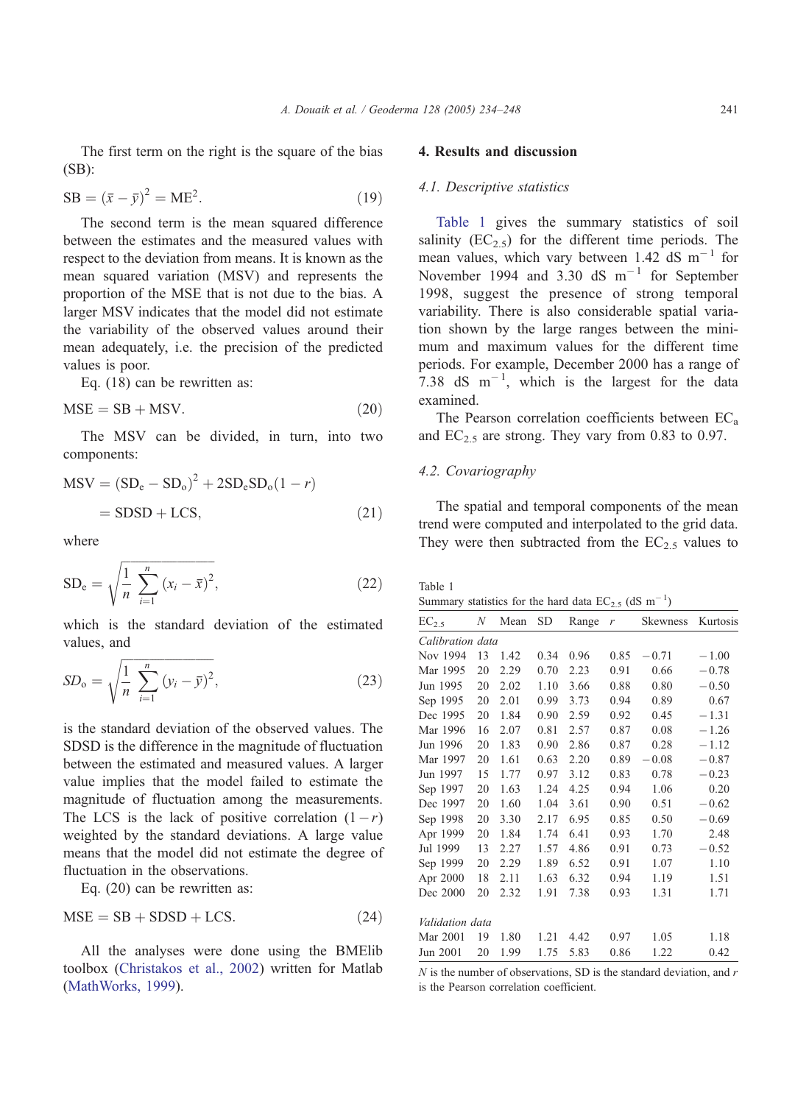The first term on the right is the square of the bias (SB):

$$
SB = (\bar{x} - \bar{y})^2 = ME^2.
$$
 (19)

The second term is the mean squared difference between the estimates and the measured values with respect to the deviation from means. It is known as the mean squared variation (MSV) and represents the proportion of the MSE that is not due to the bias. A larger MSV indicates that the model did not estimate the variability of the observed values around their mean adequately, i.e. the precision of the predicted values is poor.

Eq. (18) can be rewritten as:

$$
MSE = SB + MSV. \t(20)
$$

The MSV can be divided, in turn, into two components:

$$
MSV = (SDe - SDo)2 + 2SDeSDo(1 - r)
$$
  
= SDSD + LCS, (21)

where

$$
SD_e = \sqrt{\frac{1}{n} \sum_{i=1}^{n} (x_i - \bar{x})^2},
$$
 (22)

which is the standard deviation of the estimated values, and

$$
SD_0 = \sqrt{\frac{1}{n} \sum_{i=1}^{n} (y_i - \bar{y})^2},
$$
\n(23)

is the standard deviation of the observed values. The SDSD is the difference in the magnitude of fluctuation between the estimated and measured values. A larger value implies that the model failed to estimate the magnitude of fluctuation among the measurements. The LCS is the lack of positive correlation  $(1-r)$ weighted by the standard deviations. A large value means that the model did not estimate the degree of fluctuation in the observations.

Eq. (20) can be rewritten as:

$$
MSE = SB + SDSD + LCS.
$$
 (24)

All the analyses were done using the BMElib toolbox ([Christakos et al., 2002\)](#page-13-0) written for Matlab ([MathWorks, 1999\)](#page-14-0).

## 4. Results and discussion

## 4.1. Descriptive statistics

Table 1 gives the summary statistics of soil salinity  $(EC_{2.5})$  for the different time periods. The mean values, which vary between 1.42 dS  $m^{-1}$  for November 1994 and 3.30 dS  $m^{-1}$  for September 1998, suggest the presence of strong temporal variability. There is also considerable spatial variation shown by the large ranges between the minimum and maximum values for the different time periods. For example, December 2000 has a range of 7.38 dS  $\text{m}^{-1}$ , which is the largest for the data examined.

The Pearson correlation coefficients between  $EC<sub>a</sub>$ and  $EC_{2.5}$  are strong. They vary from 0.83 to 0.97.

# 4.2. Covariography

The spatial and temporal components of the mean trend were computed and interpolated to the grid data. They were then subtracted from the  $EC_{2.5}$  values to

| Table 1                                                               |  |  |  |  |  |
|-----------------------------------------------------------------------|--|--|--|--|--|
| Summary statistics for the hard data $EC_{2.5}$ (dS m <sup>-1</sup> ) |  |  |  |  |  |

| $EC_{2.5}$       | N  | Mean | <b>SD</b> | Range | r    | Skewness | Kurtosis |
|------------------|----|------|-----------|-------|------|----------|----------|
| Calibration data |    |      |           |       |      |          |          |
| Nov 1994         | 13 | 1.42 | 0.34      | 0.96  | 0.85 | $-0.71$  | $-1.00$  |
| Mar 1995         | 20 | 2.29 | 0.70      | 2.23  | 0.91 | 0.66     | $-0.78$  |
| Jun 1995         | 20 | 2.02 | 1.10      | 3.66  | 0.88 | 0.80     | $-0.50$  |
| Sep 1995         | 20 | 2.01 | 0.99      | 3.73  | 0.94 | 0.89     | 0.67     |
| Dec 1995         | 20 | 1.84 | 0.90      | 2.59  | 0.92 | 0.45     | $-1.31$  |
| Mar 1996         | 16 | 2.07 | 0.81      | 2.57  | 0.87 | 0.08     | $-1.26$  |
| Jun 1996         | 20 | 1.83 | 0.90      | 2.86  | 0.87 | 0.28     | $-1.12$  |
| Mar 1997         | 20 | 1.61 | 0.63      | 2.20  | 0.89 | $-0.08$  | $-0.87$  |
| Jun 1997         | 15 | 1.77 | 0.97      | 3.12  | 0.83 | 0.78     | $-0.23$  |
| Sep 1997         | 20 | 1.63 | 1.24      | 4.25  | 0.94 | 1.06     | 0.20     |
| Dec 1997         | 20 | 1.60 | 1.04      | 3.61  | 0.90 | 0.51     | $-0.62$  |
| Sep 1998         | 20 | 3.30 | 2.17      | 6.95  | 0.85 | 0.50     | $-0.69$  |
| Apr 1999         | 20 | 1.84 | 1.74      | 6.41  | 0.93 | 1.70     | 2.48     |
| Jul 1999         | 13 | 2.27 | 1.57      | 4.86  | 0.91 | 0.73     | $-0.52$  |
| Sep 1999         | 20 | 2.29 | 1.89      | 6.52  | 0.91 | 1.07     | 1.10     |
| Apr 2000         | 18 | 2.11 | 1.63      | 6.32  | 0.94 | 1.19     | 1.51     |
| Dec 2000         | 20 | 2.32 | 1.91      | 7.38  | 0.93 | 1.31     | 1.71     |
|                  |    |      |           |       |      |          |          |
| Validation data  |    |      |           |       |      |          |          |
| Mar 2001         | 19 | 1.80 | 1.21      | 4.42  | 0.97 | 1.05     | 1.18     |
| Jun 2001         | 20 | 1.99 | 1.75      | 5.83  | 0.86 | 1.22     | 0.42     |

 $N$  is the number of observations, SD is the standard deviation, and  $r$ is the Pearson correlation coefficient.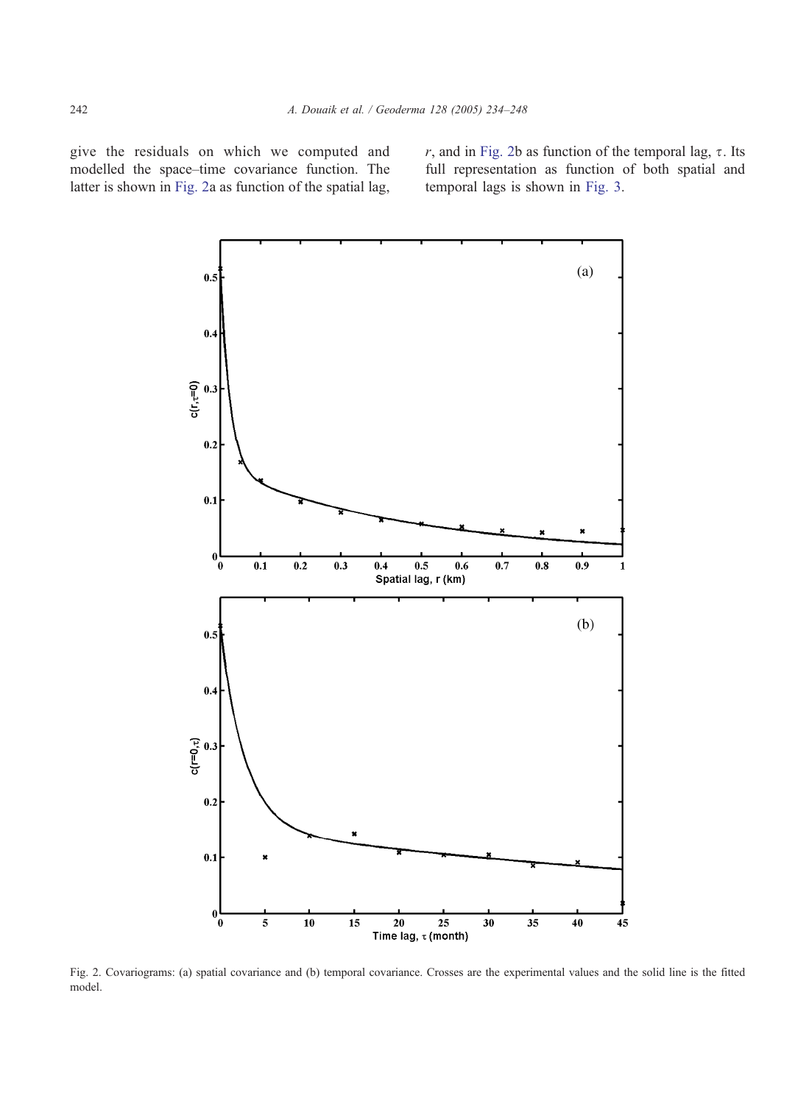give the residuals on which we computed and modelled the space–time covariance function. The latter is shown in Fig. 2a as function of the spatial lag,

r, and in Fig. 2b as function of the temporal lag,  $\tau$ . Its full representation as function of both spatial and temporal lags is shown in [Fig. 3.](#page-9-0)



Fig. 2. Covariograms: (a) spatial covariance and (b) temporal covariance. Crosses are the experimental values and the solid line is the fitted model.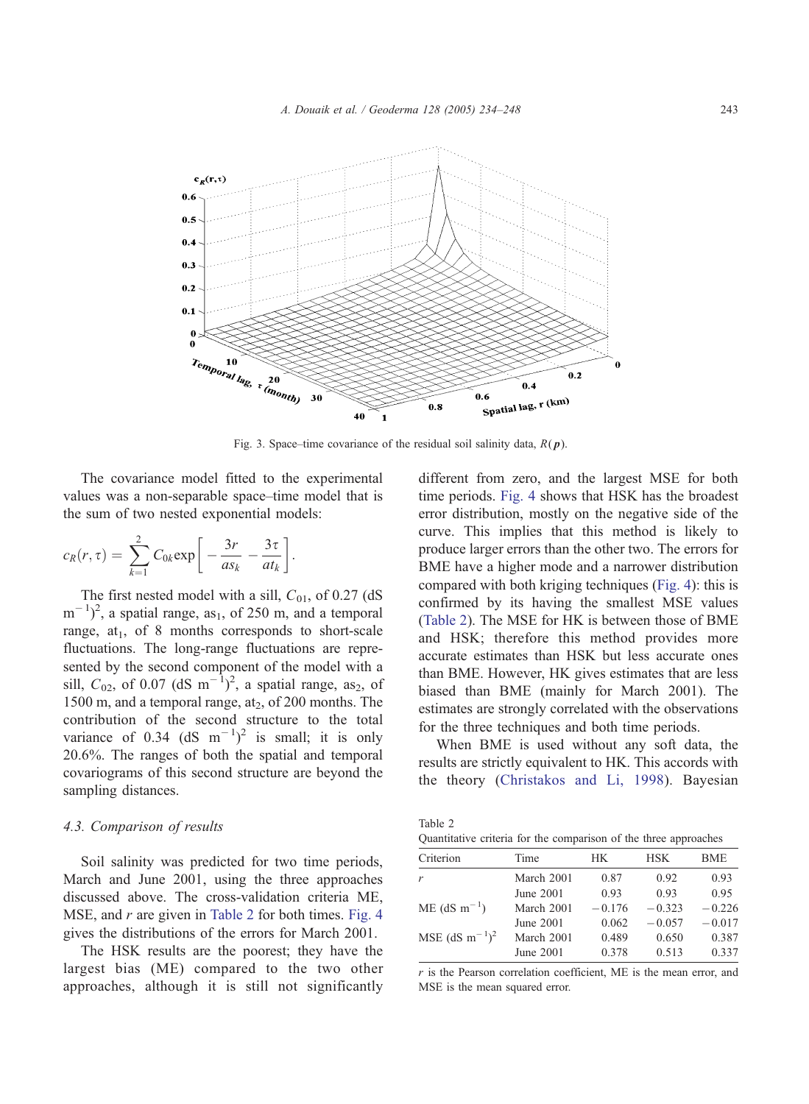<span id="page-9-0"></span>

Fig. 3. Space–time covariance of the residual soil salinity data,  $R(p)$ .

The covariance model fitted to the experimental values was a non-separable space–time model that is the sum of two nested exponential models:

$$
c_R(r,\tau)=\sum_{k=1}^2 C_{0k} \exp\bigg[-\frac{3r}{as_k}-\frac{3\tau}{at_k}\bigg].
$$

The first nested model with a sill,  $C_{01}$ , of 0.27 (dS)  $(m^{-1})^2$ , a spatial range, as<sub>1</sub>, of 250 m, and a temporal range,  $at_1$ , of 8 months corresponds to short-scale fluctuations. The long-range fluctuations are represented by the second component of the model with a sill,  $C_{02}$ , of 0.07 (dS m<sup>-1</sup>)<sup>2</sup>, a spatial range, as<sub>2</sub>, of 1500 m, and a temporal range,  $at_2$ , of 200 months. The contribution of the second structure to the total variance of 0.34 (dS  $m^{-1}$ )<sup>2</sup> is small; it is only 20.6%. The ranges of both the spatial and temporal covariograms of this second structure are beyond the sampling distances.

### 4.3. Comparison of results

Soil salinity was predicted for two time periods, March and June 2001, using the three approaches discussed above. The cross-validation criteria ME, MSE, and  $r$  are given in Table 2 for both times. [Fig. 4](#page-10-0) gives the distributions of the errors for March 2001.

The HSK results are the poorest; they have the largest bias (ME) compared to the two other approaches, although it is still not significantly different from zero, and the largest MSE for both time periods. [Fig. 4](#page-10-0) shows that HSK has the broadest error distribution, mostly on the negative side of the curve. This implies that this method is likely to produce larger errors than the other two. The errors for BME have a higher mode and a narrower distribution compared with both kriging techniques ([Fig. 4\)](#page-10-0): this is confirmed by its having the smallest MSE values (Table 2). The MSE for HK is between those of BME and HSK; therefore this method provides more accurate estimates than HSK but less accurate ones than BME. However, HK gives estimates that are less biased than BME (mainly for March 2001). The estimates are strongly correlated with the observations for the three techniques and both time periods.

When BME is used without any soft data, the results are strictly equivalent to HK. This accords with the theory ([Christakos and Li, 1998\)](#page-13-0). Bayesian

| Table 2                                                          |  |
|------------------------------------------------------------------|--|
| Quantitative criteria for the comparison of the three approaches |  |

| Criterion                  | Time       | HK.      | <b>HSK</b> | <b>BME</b> |
|----------------------------|------------|----------|------------|------------|
| r                          | March 2001 | 0.87     | 0.92       | 0.93       |
|                            | June 2001  | 0.93     | 0.93       | 0.95       |
| $ME$ (dS m <sup>-1</sup> ) | March 2001 | $-0.176$ | $-0.323$   | $-0.226$   |
|                            | June 2001  | 0.062    | $-0.057$   | $-0.017$   |
| MSE $(dS m^{-1})^2$        | March 2001 | 0.489    | 0.650      | 0.387      |
|                            | June 2001  | 0.378    | 0.513      | 0.337      |

 $r$  is the Pearson correlation coefficient, ME is the mean error, and MSE is the mean squared error.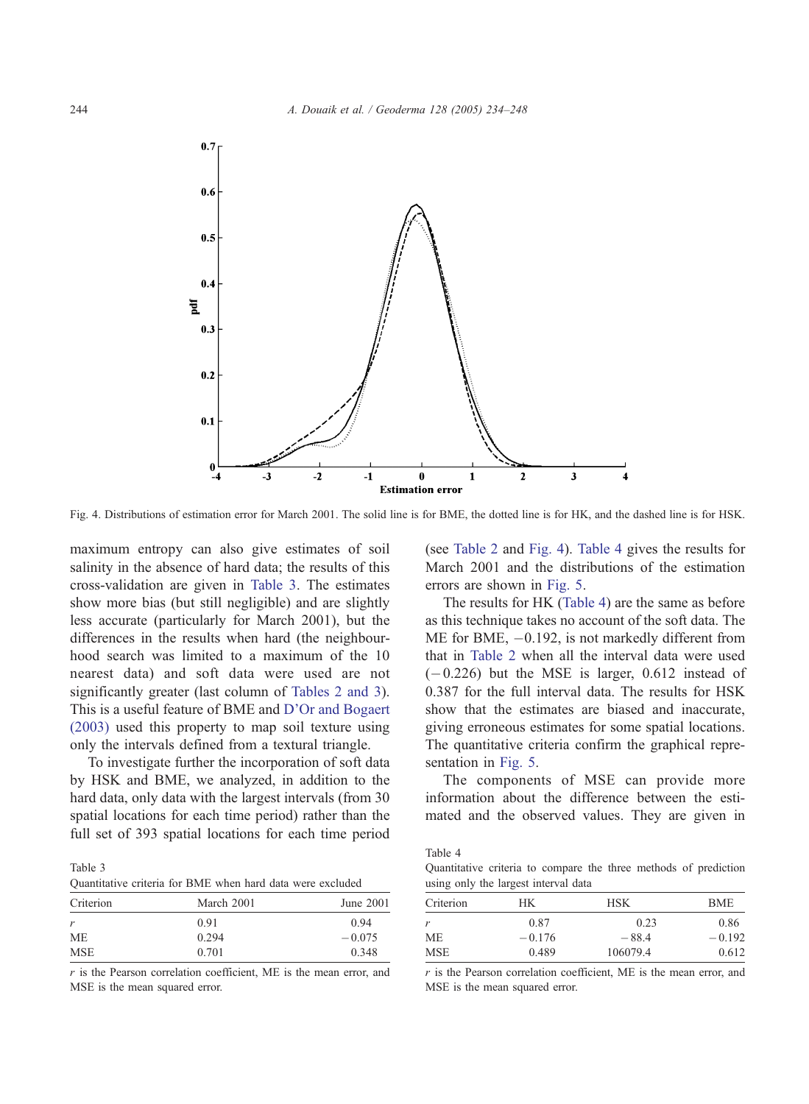<span id="page-10-0"></span>

Fig. 4. Distributions of estimation error for March 2001. The solid line is for BME, the dotted line is for HK, and the dashed line is for HSK.

maximum entropy can also give estimates of soil salinity in the absence of hard data; the results of this cross-validation are given in Table 3. The estimates show more bias (but still negligible) and are slightly less accurate (particularly for March 2001), but the differences in the results when hard (the neighbourhood search was limited to a maximum of the 10 nearest data) and soft data were used are not significantly greater (last column of [Tables 2 and 3\)](#page-9-0). This is a useful feature of BME and [D'Or and Bogaert](#page-13-0) (2003) used this property to map soil texture using only the intervals defined from a textural triangle.

To investigate further the incorporation of soft data by HSK and BME, we analyzed, in addition to the hard data, only data with the largest intervals (from 30 spatial locations for each time period) rather than the full set of 393 spatial locations for each time period

Table 3 Quantitative criteria for BME when hard data were excluded

| Criterion  | March 2001 | June 2001 |
|------------|------------|-----------|
| r          | 0.91       | 0.94      |
| МE         | 0.294      | $-0.075$  |
| <b>MSE</b> | 0.701      | 0.348     |

 $r$  is the Pearson correlation coefficient, ME is the mean error, and MSE is the mean squared error.

(see [Table 2](#page-9-0) and Fig. 4). Table 4 gives the results for March 2001 and the distributions of the estimation errors are shown in [Fig. 5.](#page-11-0)

The results for HK (Table 4) are the same as before as this technique takes no account of the soft data. The ME for BME,  $-0.192$ , is not markedly different from that in [Table 2](#page-9-0) when all the interval data were used  $(-0.226)$  but the MSE is larger, 0.612 instead of 0.387 for the full interval data. The results for HSK show that the estimates are biased and inaccurate, giving erroneous estimates for some spatial locations. The quantitative criteria confirm the graphical representation in [Fig. 5.](#page-11-0)

The components of MSE can provide more information about the difference between the estimated and the observed values. They are given in

Table 4

Quantitative criteria to compare the three methods of prediction using only the largest interval data

| Criterion | HК       | <b>HSK</b> | BME      |
|-----------|----------|------------|----------|
| r         | 0.87     | 0.23       | 0.86     |
| MЕ        | $-0.176$ | $-88.4$    | $-0.192$ |
| MSE       | 0.489    | 106079.4   | 0.612    |
|           |          |            |          |

 $r$  is the Pearson correlation coefficient, ME is the mean error, and MSE is the mean squared error.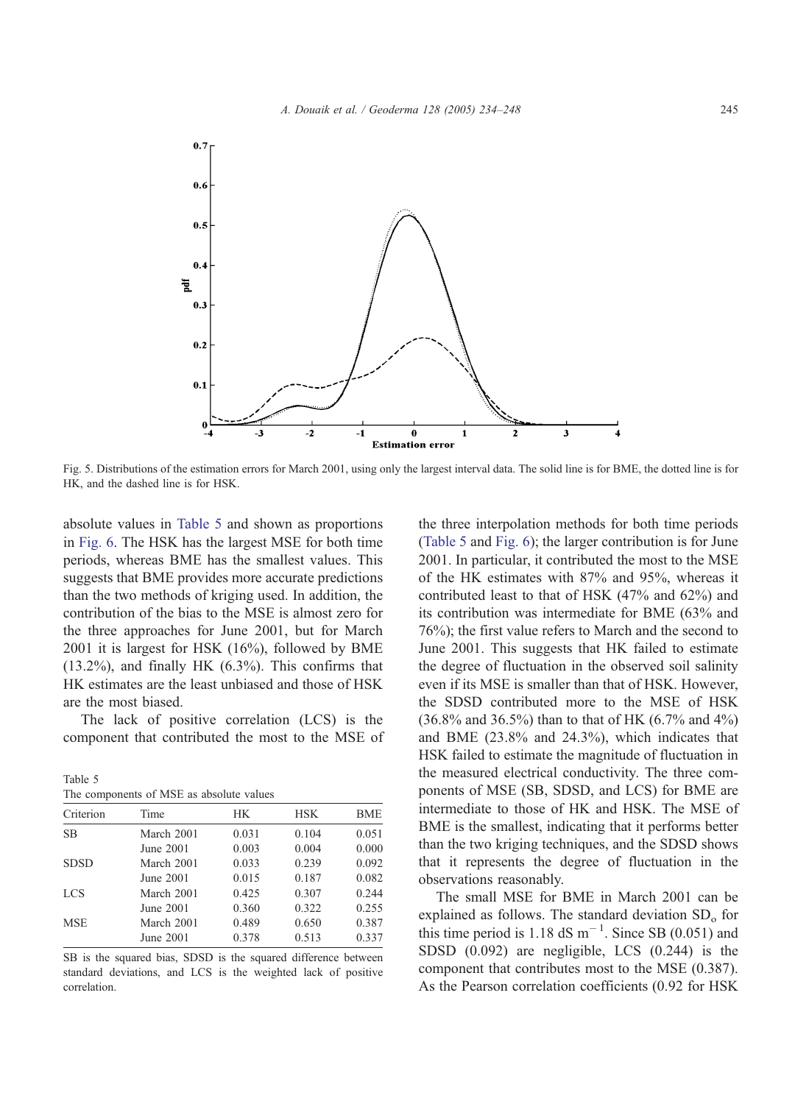<span id="page-11-0"></span>

Fig. 5. Distributions of the estimation errors for March 2001, using only the largest interval data. The solid line is for BME, the dotted line is for HK, and the dashed line is for HSK.

absolute values in Table 5 and shown as proportions in [Fig. 6.](#page-12-0) The HSK has the largest MSE for both time periods, whereas BME has the smallest values. This suggests that BME provides more accurate predictions than the two methods of kriging used. In addition, the contribution of the bias to the MSE is almost zero for the three approaches for June 2001, but for March 2001 it is largest for HSK (16%), followed by BME  $(13.2\%)$ , and finally HK  $(6.3\%)$ . This confirms that HK estimates are the least unbiased and those of HSK are the most biased.

The lack of positive correlation (LCS) is the component that contributed the most to the MSE of

Table 5 The components of MSE as absolute values

| Criterion   | Time       | HК    | <b>HSK</b> | <b>BME</b> |
|-------------|------------|-------|------------|------------|
| <b>SB</b>   | March 2001 | 0.031 | 0.104      | 0.051      |
|             | June 2001  | 0.003 | 0.004      | 0.000      |
| <b>SDSD</b> | March 2001 | 0.033 | 0.239      | 0.092      |
|             | June 2001  | 0.015 | 0.187      | 0.082      |
| <b>LCS</b>  | March 2001 | 0.425 | 0.307      | 0.244      |
|             | June 2001  | 0.360 | 0.322      | 0.255      |
| <b>MSE</b>  | March 2001 | 0.489 | 0.650      | 0.387      |
|             | June 2001  | 0.378 | 0.513      | 0.337      |

SB is the squared bias, SDSD is the squared difference between standard deviations, and LCS is the weighted lack of positive correlation.

the three interpolation methods for both time periods (Table 5 and [Fig. 6\)](#page-12-0); the larger contribution is for June 2001. In particular, it contributed the most to the MSE of the HK estimates with 87% and 95%, whereas it contributed least to that of HSK (47% and 62%) and its contribution was intermediate for BME (63% and 76%); the first value refers to March and the second to June 2001. This suggests that HK failed to estimate the degree of fluctuation in the observed soil salinity even if its MSE is smaller than that of HSK. However, the SDSD contributed more to the MSE of HSK  $(36.8\%$  and  $36.5\%)$  than to that of HK  $(6.7\%$  and  $4\%)$ and BME (23.8% and 24.3%), which indicates that HSK failed to estimate the magnitude of fluctuation in the measured electrical conductivity. The three components of MSE (SB, SDSD, and LCS) for BME are intermediate to those of HK and HSK. The MSE of BME is the smallest, indicating that it performs better than the two kriging techniques, and the SDSD shows that it represents the degree of fluctuation in the observations reasonably.

The small MSE for BME in March 2001 can be explained as follows. The standard deviation  $SD<sub>o</sub>$  for this time period is 1.18  $dS$  m<sup>-1</sup>. Since SB (0.051) and SDSD (0.092) are negligible, LCS (0.244) is the component that contributes most to the MSE (0.387). As the Pearson correlation coefficients (0.92 for HSK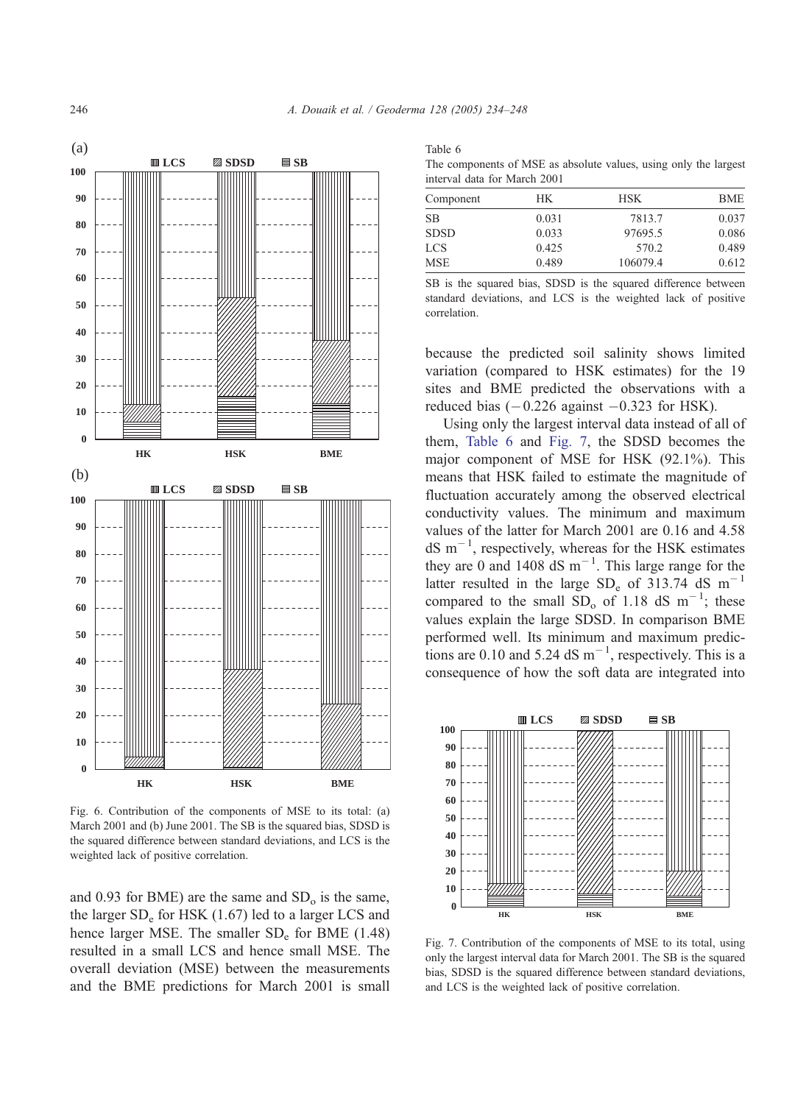<span id="page-12-0"></span>

Fig. 6. Contribution of the components of MSE to its total: (a) March 2001 and (b) June 2001. The SB is the squared bias, SDSD is the squared difference between standard deviations, and LCS is the weighted lack of positive correlation.

and 0.93 for BME) are the same and  $SD<sub>o</sub>$  is the same, the larger  $SD_e$  for HSK (1.67) led to a larger LCS and hence larger MSE. The smaller  $SD_e$  for BME (1.48) resulted in a small LCS and hence small MSE. The overall deviation (MSE) between the measurements and the BME predictions for March 2001 is small

Table 6 The components of MSE as absolute values, using only the largest interval data for March 2001

| Component   | HK.   | HSK.     | <b>BME</b> |  |  |
|-------------|-------|----------|------------|--|--|
| SВ          | 0.031 | 7813.7   | 0.037      |  |  |
| <b>SDSD</b> | 0.033 | 97695.5  | 0.086      |  |  |
| LCS         | 0.425 | 570.2    | 0.489      |  |  |
| MSE         | 0.489 | 106079.4 | 0.612      |  |  |
|             |       |          |            |  |  |

SB is the squared bias, SDSD is the squared difference between standard deviations, and LCS is the weighted lack of positive correlation.

because the predicted soil salinity shows limited variation (compared to HSK estimates) for the 19 sites and BME predicted the observations with a reduced bias  $(-0.226 \text{ against } -0.323 \text{ for HSK}).$ 

Using only the largest interval data instead of all of them, Table 6 and Fig. 7, the SDSD becomes the major component of MSE for HSK (92.1%). This means that HSK failed to estimate the magnitude of fluctuation accurately among the observed electrical conductivity values. The minimum and maximum values of the latter for March 2001 are 0.16 and 4.58  $dS$  m<sup>-1</sup>, respectively, whereas for the HSK estimates they are 0 and 1408  $dS$  m<sup>-1</sup>. This large range for the latter resulted in the large  $SD_e$  of 313.74 dS m<sup>-1</sup> compared to the small  $SD_0$  of 1.18 dS m<sup>-1</sup>; these values explain the large SDSD. In comparison BME performed well. Its minimum and maximum predictions are 0.10 and 5.24 dS  $m^{-1}$ , respectively. This is a consequence of how the soft data are integrated into



Fig. 7. Contribution of the components of MSE to its total, using only the largest interval data for March 2001. The SB is the squared bias, SDSD is the squared difference between standard deviations, and LCS is the weighted lack of positive correlation.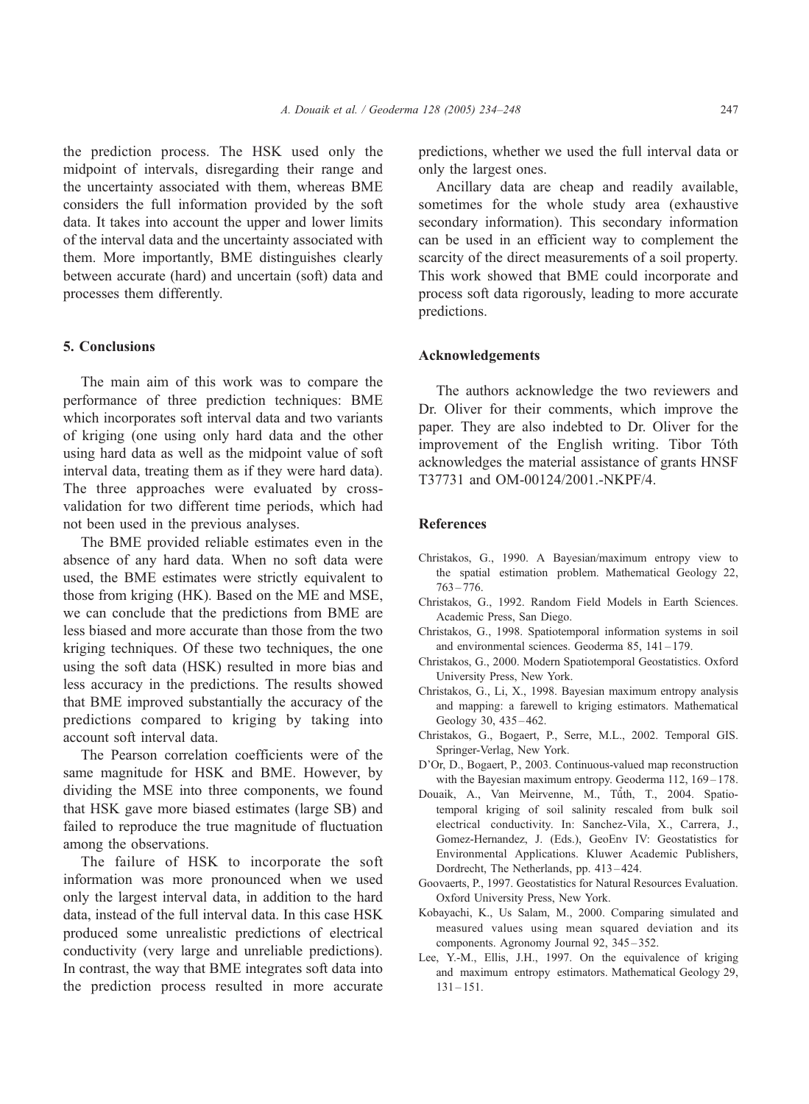<span id="page-13-0"></span>the prediction process. The HSK used only the midpoint of intervals, disregarding their range and the uncertainty associated with them, whereas BME considers the full information provided by the soft data. It takes into account the upper and lower limits

of the interval data and the uncertainty associated with them. More importantly, BME distinguishes clearly between accurate (hard) and uncertain (soft) data and processes them differently.

# 5. Conclusions

The main aim of this work was to compare the performance of three prediction techniques: BME which incorporates soft interval data and two variants of kriging (one using only hard data and the other using hard data as well as the midpoint value of soft interval data, treating them as if they were hard data). The three approaches were evaluated by crossvalidation for two different time periods, which had not been used in the previous analyses.

The BME provided reliable estimates even in the absence of any hard data. When no soft data were used, the BME estimates were strictly equivalent to those from kriging (HK). Based on the ME and MSE, we can conclude that the predictions from BME are less biased and more accurate than those from the two kriging techniques. Of these two techniques, the one using the soft data (HSK) resulted in more bias and less accuracy in the predictions. The results showed that BME improved substantially the accuracy of the predictions compared to kriging by taking into account soft interval data.

The Pearson correlation coefficients were of the same magnitude for HSK and BME. However, by dividing the MSE into three components, we found that HSK gave more biased estimates (large SB) and failed to reproduce the true magnitude of fluctuation among the observations.

The failure of HSK to incorporate the soft information was more pronounced when we used only the largest interval data, in addition to the hard data, instead of the full interval data. In this case HSK produced some unrealistic predictions of electrical conductivity (very large and unreliable predictions). In contrast, the way that BME integrates soft data into the prediction process resulted in more accurate predictions, whether we used the full interval data or only the largest ones.

Ancillary data are cheap and readily available, sometimes for the whole study area (exhaustive secondary information). This secondary information can be used in an efficient way to complement the scarcity of the direct measurements of a soil property. This work showed that BME could incorporate and process soft data rigorously, leading to more accurate predictions.

## Acknowledgements

The authors acknowledge the two reviewers and Dr. Oliver for their comments, which improve the paper. They are also indebted to Dr. Oliver for the improvement of the English writing. Tibor Tóth acknowledges the material assistance of grants HNSF T37731 and OM-00124/2001.-NKPF/4.

## References

- Christakos, G., 1990. A Bayesian/maximum entropy view to the spatial estimation problem. Mathematical Geology 22,  $763 - 776.$
- Christakos, G., 1992. Random Field Models in Earth Sciences. Academic Press, San Diego.
- Christakos, G., 1998. Spatiotemporal information systems in soil and environmental sciences. Geoderma 85, 141 – 179.
- Christakos, G., 2000. Modern Spatiotemporal Geostatistics. Oxford University Press, New York.
- Christakos, G., Li, X., 1998. Bayesian maximum entropy analysis and mapping: a farewell to kriging estimators. Mathematical Geology 30, 435 – 462.
- Christakos, G., Bogaert, P., Serre, M.L., 2002. Temporal GIS. Springer-Verlag, New York.
- D'Or, D., Bogaert, P., 2003. Continuous-valued map reconstruction with the Bayesian maximum entropy. Geoderma 112, 169-178.
- Douaik, A., Van Meirvenne, M., Tůth, T., 2004. Spatiotemporal kriging of soil salinity rescaled from bulk soil electrical conductivity. In: Sanchez-Vila, X., Carrera, J., Gomez-Hernandez, J. (Eds.), GeoEnv IV: Geostatistics for Environmental Applications. Kluwer Academic Publishers, Dordrecht, The Netherlands, pp. 413 – 424.
- Goovaerts, P., 1997. Geostatistics for Natural Resources Evaluation. Oxford University Press, New York.
- Kobayachi, K., Us Salam, M., 2000. Comparing simulated and measured values using mean squared deviation and its components. Agronomy Journal 92, 345 – 352.
- Lee, Y.-M., Ellis, J.H., 1997. On the equivalence of kriging and maximum entropy estimators. Mathematical Geology 29,  $131 - 151.$